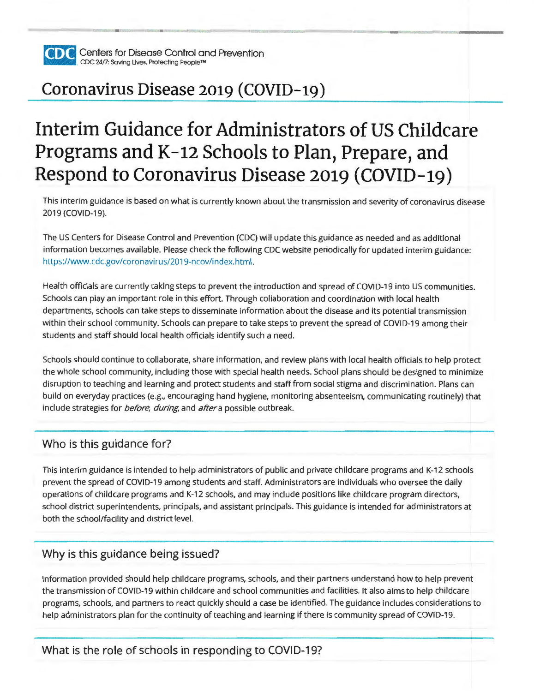

**PiiTil** Centers for Disease Control and Prevention **lliiiiii.iiil** CDC 24/7: Saving Lives. Protecting People™

## **Coronavirus Disease 2019 (COVID-19)**

# **Interim Guidance for Administrators of US Childcare Programs and K-12 Schools to Plan, Prepare, and Respond to Coronavirus Disease 2019 (COVID-19)**

This interim guidance is based on what is currently known about the transmission and severity of coronavirus disease 2019 (COVID-19).

The US Centers for Disease Control and Prevention (CDC) will update this guidance as needed and as additional information becomes available. Please check the following CDC website periodically for updated interim guidance: https://www.cdc.gov/coronavirus/2019-ncov/index.html.

Health officials are currently taking steps to prevent the introduction and spread of COVID-19 into US communities. Schools can play an important role in this effort. Through collaboration and coordination with local health departments, schools can take steps to disseminate information about the disease and its potential transmission within their school community. Schools can prepare to take steps to prevent the spread of COVID-19 among their students and staff should local health officials identify such a need.

Schools should continue to collaborate, share information, and review plans with local health officials to help protect the whole school community, including those with special health needs. School plans should be designed to minimize disruption to teaching and learning and protect students and staff from social stigma and discrimination. Plans can build on everyday practices (e.g., encouraging hand hygiene, monitoring absenteeism, communicating routinely) that include strategies for *before, during*, and *after* a possible outbreak.

#### Who is this guidance for?

This interim guidance is intended to help administrators of public and private childcare programs and K-12 schools prevent the spread of COVID-19 among students and staff. Administrators are individuals who oversee the daily operations of childcare programs and K-12 schools, and may include positions like childcare program directors, school district superintendents, principals, and assistant principals. This guidance is intended for administrators at both the school/facility and district level.

#### Why is this guidance being issued?

Information provided should help childcare programs, schools, and their partners understand how to help prevent the transmission of COVID-19 within childcare and school communities and facilities. It also aims to help childcare programs, schools, and partners to react quickly should a case be identified. The guidance includes considerations to help administrators plan for the continuity of teaching and learning if there is community spread of COVID-19.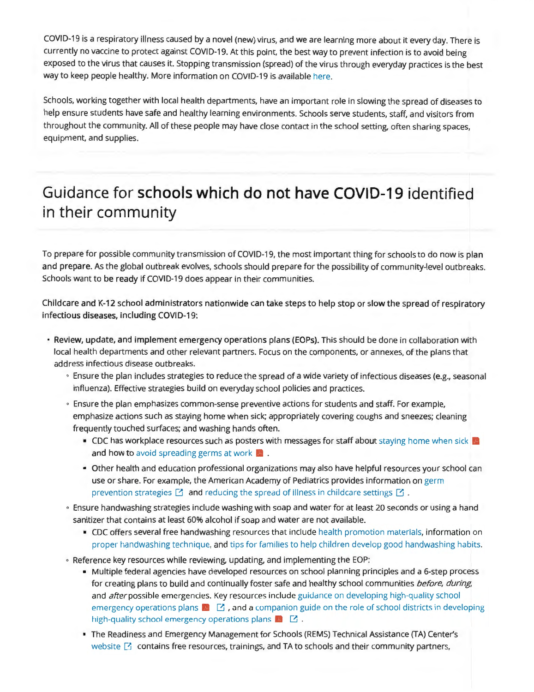COVID-19 is a respiratory illness caused by a novel (new) virus, and we are learning more about it every day. There is currently no vaccine to protect against COVID-19. At this point, the best way to prevent infection is to avoid being exposed to the virus that causes it. Stopping transmission (spread) of the virus through everyday practices is the best way to keep people healthy. More information on COVID-19 is available here.

Schools, working together with local health departments, have an important role in slowing the spread of diseases to help ensure students have safe and healthy learning environments. Schools serve students, staff, and visitors from throughout the community. All of these people may have close contact in the school setting, often sharing spaces, equipment, and supplies.

### **Guidance for schools which do not have COVID-19 identified in their community**

To prepare for possible community transmission of COVID-19, the most important thing for schools to do now is plan and prepare. As the global outbreak evolves, schools should prepare for the possibility of community-level outbreaks. Schools want to be ready if COVID-19 does appear in their communities.

Childcare and K-12 school administrators nationwide can take steps to help stop or slow the spread of respiratory infectious diseases, including COVID-19:

- **Review, update, and implement emergency operations plans (EOPs).** This should be done in collaboration with local health departments and other relevant partners. Focus on the components, or annexes, of the plans that address infectious disease outbreaks.
	- 0 Ensure the plan includes strategies to reduce the spread of a wide variety of infectious diseases (e.g., seasonal influenza). Effective strategies build on everyday school policies and practices.
	- 0 Ensure the plan emphasizes common-sense preventive actions for students and staff. For example, emphasize actions such as staying home when sick; appropriately covering coughs and sneezes; cleaning frequently touched surfaces; and washing hands often.
		- CDC has workplace resources such as posters with messages for staff about staying home when sick and how to avoid spreading germs at work
		- Other health and education professional organizations may also have helpful resources your school can use or share. For example, the American Academy of Pediatrics provides information on germ prevention strategies  $\Box$  and reducing the spread of illness in childcare settings  $\Box$ .
	- 0 Ensure handwashing strategies include washing with soap and water for at least 20 seconds or using a hand sanitizer that contains at least 60% alcohol if soap and water are not available.
		- CDC offers several free handwashing resources that include health promotion materials, information on proper handwashing technique, and tips for families to help children develop good handwashing habits.
	- 0 Reference key resources while reviewing, updating, and implementing the EOP:
		- Multiple federal agencies have developed resources on school planning principles and a 6-step process for creating plans to build and continually foster safe and healthy school communities before, during, and *after* possible emergencies. Key resources include guidance on developing high-quality school emergency operations plans  $\blacksquare$   $\blacksquare$  , and a companion guide on the role of school districts in developing high-quality school emergency operations plans  $\blacksquare$   $\blacksquare$ .
		- The Readiness and Emergency Management for Schools (REMS) Technical Assistance (TA) Center's website  $\boxtimes$  contains free resources, trainings, and TA to schools and their community partners,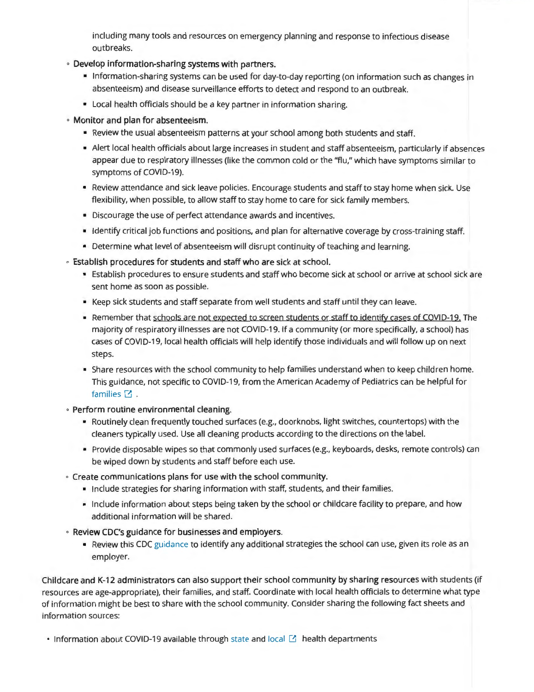including many tools and resources on emergency planning and response to infectious disease outbreaks.

- <sup>0</sup>**Develop information-sharing systems with partners.** 
	- Information-sharing systems can be used for day-to-day reporting (on information such as changes in absenteeism) and disease surveillance efforts to detect and respond to an outbreak.
	- Local health officials should be a key partner in information sharing.
- 0 Monitor and plan for absenteeism.
	- Review the usual absenteeism patterns at your school among both students and staff.
	- Alert local health officials about large increases in student and staff absenteeism, particularly if absences appear due to respiratory illnesses (like the common cold or the "flu," which have symptoms similar to symptoms of COVID-19).
	- Review attendance and sick leave policies. Encourage students and staff to stay home when sick. Use flexibility, when possible, to allow staff to stay home to care for sick family members.
	- Discourage the use of perfect attendance awards and incentives.
	- Identify critical job functions and positions, and plan for alternative coverage by cross-training staff.
	- Determine what level of absenteeism will disrupt continuity of teaching and learning.
- 0 Establish procedures for students and staff who are sick at school.
	- Establish procedures to ensure students and staff who become sick at school or arrive at school sick are sent home as soon as possible.
	- Keep sick students and staff separate from well students and staff until they can leave.
	- Remember that schools are not expected to screen students or staff to identify cases of COVID-19. The majority of respiratory illnesses are not COVID-19. If a community (or more specifically, a school) has cases of COVID-19, local health officials will help identify those individuals and will follow up on next steps.
	- Share resources with the school community to help families understand when to keep children home. This guidance, not specific to COVID-19, from the American Academy of Pediatrics can be helpful for families  $\Box$ .
- 0 Perform routine environmental cleaning.
	- Routinely clean frequently touched surfaces (e.g., doorknobs, light switches, countertops) with the cleaners typically used. Use all cleaning products according to the directions on the label.
	- Provide disposable wipes so that commonly used surfaces (e.g., keyboards, desks, remote controls) can be wiped down by students and staff before each use.
- ° Create communications plans for use with the school community.
	- Include strategies for sharing information with staff, students, and their families.
	- Include information about steps being taken by the school or childcare facility to prepare, and how additional information will be shared.
- 0 Review CDC's guidance for businesses and employers.
	- Review this CDC guidance to identify any additional strategies the school can use, given its role as an employer.

Childcare and K-12 administrators can also support their school community by sharing resources with students (if resources are age-appropriate), their families, and staff. Coordinate with local health officials to determine what type of information might be best to share with the school community. Consider sharing the following fact sheets and information sources:

• Information about COVID-19 available through state and local  $\boxtimes$  health departments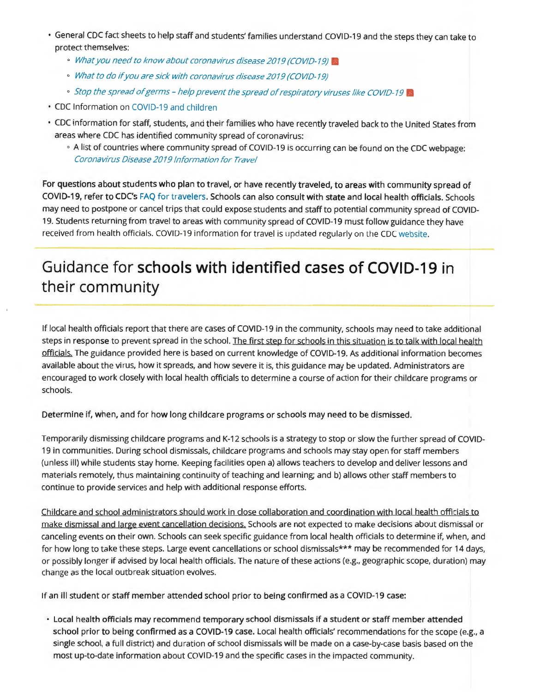- General CDC fact sheets to help staff and students' families understand COVID-19 and the steps they can take to protect themselves:
	- © What you need to know about coronavirus disease 2019 (COVID-19)
	- <sup>0</sup>What to do if you are sick with coronavirus disease 2019 (COVID-19)
	- © Stop the spread of germs help prevent the spread of respiratory viruses like COVID-19
- CDC Information on COVID-19 and children
- CDC information for staff, students, and their families who have recently traveled back to the United States from areas where CDC has identified community spread of coronavirus:
	- 0 A list of countries where community spread of COVID-19 is occurring can be found on the CDC webpage: Corona virus Disease 2019 Information for Travel

For questions about students who plan to travel, or have recently traveled, to areas with community spread of COVID-19, refer to CDC's FAQ for travelers. Schools can also consult with state and local health officials. Schools may need to postpone or cancel trips that could expose students and staff to potential community spread of COVID-19. Students returning from travel to areas with community spread of COVID-19 must follow guidance they have received from health officials. COVID-19 information for travel is updated regularly on the CDC website.

### **Guidance for schools with identified cases of COVID-19 in their community**

If local health officials report that there are cases of COVID-19 in the community, schools may need to take additional steps in response to prevent spread in the school. The first step for schools in this situation is to talk with local health officials. The guidance provided here is based on current knowledge of COVID-19. As additional information becomes available about the virus, how it spreads, and how severe it is, this guidance may be updated. Administrators are encouraged to work closely with local health officials to determine a course of action for their childcare programs or schools.

Determine if, when, and for how long childcare programs or schools may need to be dismissed.

Temporarily dismissing childcare programs and K-12 schools is a strategy to stop or slow the further spread of COVID-19 in communities. During school dismissals, childcare programs and schools may stay open for staff members (unless ill) while students stay home. Keeping facilities open a) allows teachers to develop and deliver lessons and materials remotely, thus maintaining continuity of teaching and learning; and b) allows other staff members to continue to provide services and help with additional response efforts.

Childcare and school administrators should work in close collaboration and coordination with local health officials to make dismissal and large event cancellation decisions. Schools are not expected to make decisions about dismissal or canceling events on their own. Schools can seek specific guidance from local health officials to determine if, when, and for how long to take these steps. Large event cancellations or school dismissals\*\*\* may be recommended for 14 days, or possibly longer if advised by local health officials. The nature of these actions (e.g., geographic scope, duration) may change as the local outbreak situation evolves.

If an ill student or staff member attended school prior to being confirmed as a COVID-19 case:

• Local health officials may recommend temporary school dismissals if a student or staff member attended school prior to being confirmed as a COVID-19 case. Local health officials' recommendations for the scope (e.g., a single school, a full district) and duration of school dismissals will be made on a case-by-case basis based on the most up-to-date information about COVID-19 and the specific cases in the impacted community.